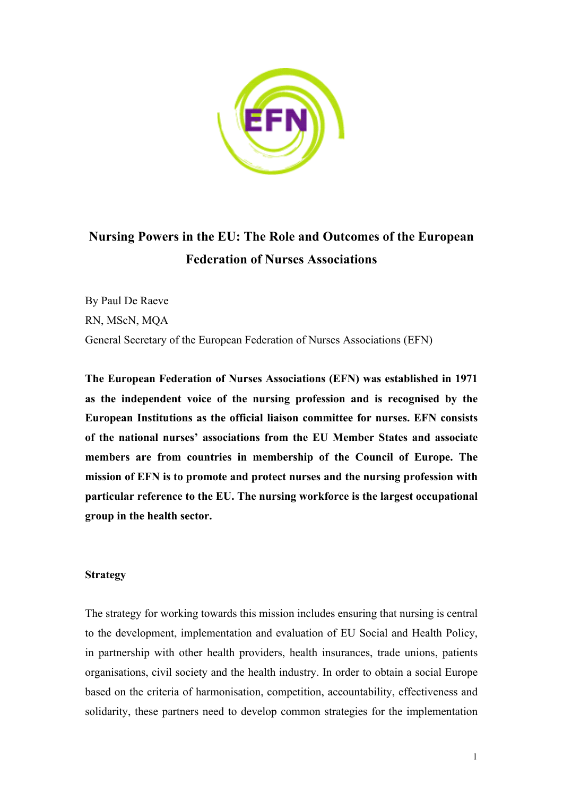

# **Nursing Powers in the EU: The Role and Outcomes of the European Federation of Nurses Associations**

By Paul De Raeve RN, MScN, MQA General Secretary of the European Federation of Nurses Associations (EFN)

**The European Federation of Nurses Associations (EFN) was established in 1971 as the independent voice of the nursing profession and is recognised by the European Institutions as the official liaison committee for nurses. EFN consists of the national nurses' associations from the EU Member States and associate members are from countries in membership of the Council of Europe. The mission of EFN is to promote and protect nurses and the nursing profession with particular reference to the EU. The nursing workforce is the largest occupational group in the health sector.** 

## **Strategy**

The strategy for working towards this mission includes ensuring that nursing is central to the development, implementation and evaluation of EU Social and Health Policy, in partnership with other health providers, health insurances, trade unions, patients organisations, civil society and the health industry. In order to obtain a social Europe based on the criteria of harmonisation, competition, accountability, effectiveness and solidarity, these partners need to develop common strategies for the implementation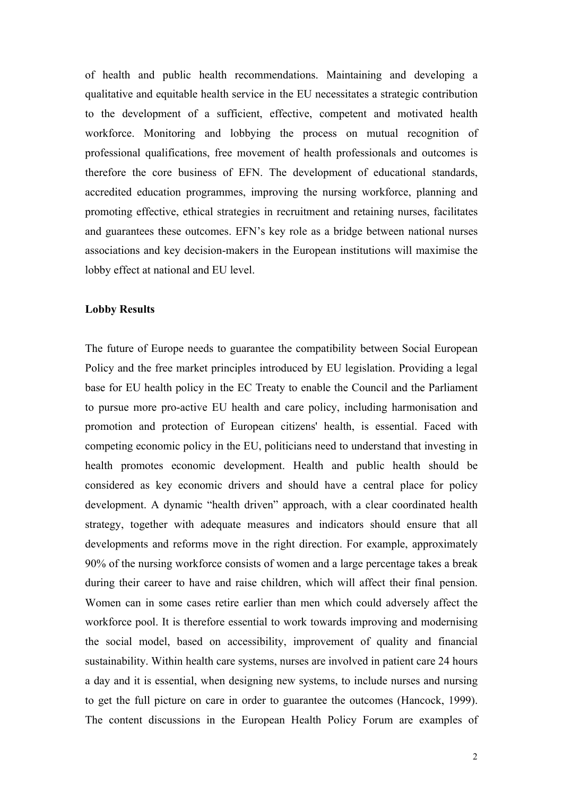of health and public health recommendations. Maintaining and developing a qualitative and equitable health service in the EU necessitates a strategic contribution to the development of a sufficient, effective, competent and motivated health workforce. Monitoring and lobbying the process on mutual recognition of professional qualifications, free movement of health professionals and outcomes is therefore the core business of EFN. The development of educational standards, accredited education programmes, improving the nursing workforce, planning and promoting effective, ethical strategies in recruitment and retaining nurses, facilitates and guarantees these outcomes. EFN's key role as a bridge between national nurses associations and key decision-makers in the European institutions will maximise the lobby effect at national and EU level.

#### **Lobby Results**

The future of Europe needs to guarantee the compatibility between Social European Policy and the free market principles introduced by EU legislation. Providing a legal base for EU health policy in the EC Treaty to enable the Council and the Parliament to pursue more pro-active EU health and care policy, including harmonisation and promotion and protection of European citizens' health, is essential. Faced with competing economic policy in the EU, politicians need to understand that investing in health promotes economic development. Health and public health should be considered as key economic drivers and should have a central place for policy development. A dynamic "health driven" approach, with a clear coordinated health strategy, together with adequate measures and indicators should ensure that all developments and reforms move in the right direction. For example, approximately 90% of the nursing workforce consists of women and a large percentage takes a break during their career to have and raise children, which will affect their final pension. Women can in some cases retire earlier than men which could adversely affect the workforce pool. It is therefore essential to work towards improving and modernising the social model, based on accessibility, improvement of quality and financial sustainability. Within health care systems, nurses are involved in patient care 24 hours a day and it is essential, when designing new systems, to include nurses and nursing to get the full picture on care in order to guarantee the outcomes (Hancock, 1999). The content discussions in the European Health Policy Forum are examples of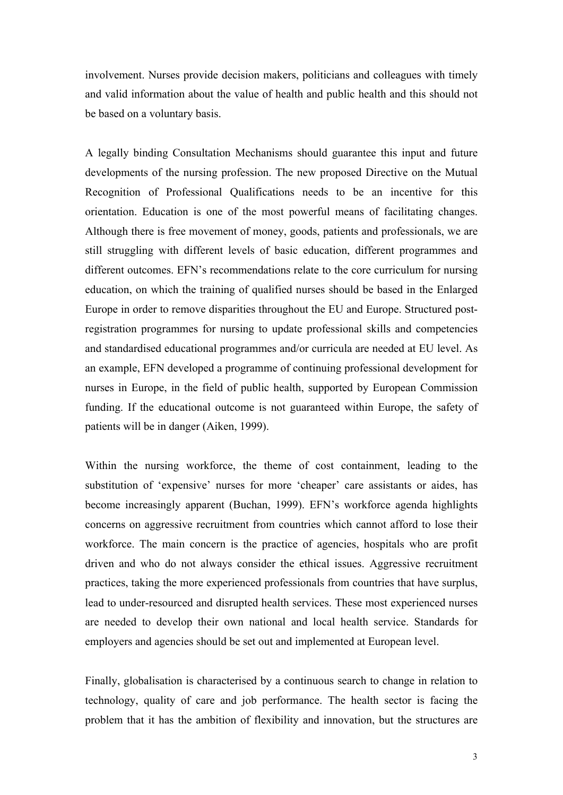involvement. Nurses provide decision makers, politicians and colleagues with timely and valid information about the value of health and public health and this should not be based on a voluntary basis.

A legally binding Consultation Mechanisms should guarantee this input and future developments of the nursing profession. The new proposed Directive on the Mutual Recognition of Professional Qualifications needs to be an incentive for this orientation. Education is one of the most powerful means of facilitating changes. Although there is free movement of money, goods, patients and professionals, we are still struggling with different levels of basic education, different programmes and different outcomes. EFN's recommendations relate to the core curriculum for nursing education, on which the training of qualified nurses should be based in the Enlarged Europe in order to remove disparities throughout the EU and Europe. Structured postregistration programmes for nursing to update professional skills and competencies and standardised educational programmes and/or curricula are needed at EU level. As an example, EFN developed a programme of continuing professional development for nurses in Europe, in the field of public health, supported by European Commission funding. If the educational outcome is not guaranteed within Europe, the safety of patients will be in danger (Aiken, 1999).

Within the nursing workforce, the theme of cost containment, leading to the substitution of 'expensive' nurses for more 'cheaper' care assistants or aides, has become increasingly apparent (Buchan, 1999). EFN's workforce agenda highlights concerns on aggressive recruitment from countries which cannot afford to lose their workforce. The main concern is the practice of agencies, hospitals who are profit driven and who do not always consider the ethical issues. Aggressive recruitment practices, taking the more experienced professionals from countries that have surplus, lead to under-resourced and disrupted health services. These most experienced nurses are needed to develop their own national and local health service. Standards for employers and agencies should be set out and implemented at European level.

Finally, globalisation is characterised by a continuous search to change in relation to technology, quality of care and job performance. The health sector is facing the problem that it has the ambition of flexibility and innovation, but the structures are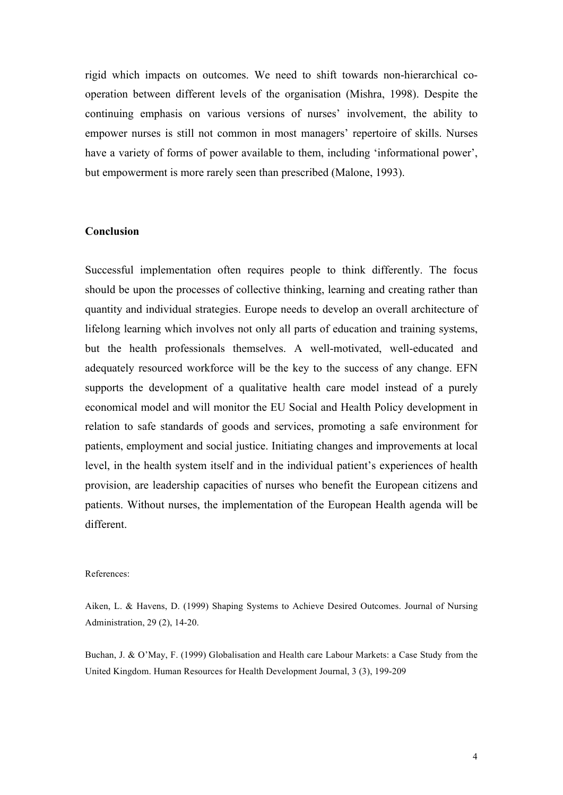rigid which impacts on outcomes. We need to shift towards non-hierarchical cooperation between different levels of the organisation (Mishra, 1998). Despite the continuing emphasis on various versions of nurses' involvement, the ability to empower nurses is still not common in most managers' repertoire of skills. Nurses have a variety of forms of power available to them, including 'informational power', but empowerment is more rarely seen than prescribed (Malone, 1993).

### **Conclusion**

Successful implementation often requires people to think differently. The focus should be upon the processes of collective thinking, learning and creating rather than quantity and individual strategies. Europe needs to develop an overall architecture of lifelong learning which involves not only all parts of education and training systems, but the health professionals themselves. A well-motivated, well-educated and adequately resourced workforce will be the key to the success of any change. EFN supports the development of a qualitative health care model instead of a purely economical model and will monitor the EU Social and Health Policy development in relation to safe standards of goods and services, promoting a safe environment for patients, employment and social justice. Initiating changes and improvements at local level, in the health system itself and in the individual patient's experiences of health provision, are leadership capacities of nurses who benefit the European citizens and patients. Without nurses, the implementation of the European Health agenda will be different.

#### References:

Aiken, L. & Havens, D. (1999) Shaping Systems to Achieve Desired Outcomes. Journal of Nursing Administration, 29 (2), 14-20.

Buchan, J. & O'May, F. (1999) Globalisation and Health care Labour Markets: a Case Study from the United Kingdom. Human Resources for Health Development Journal, 3 (3), 199-209